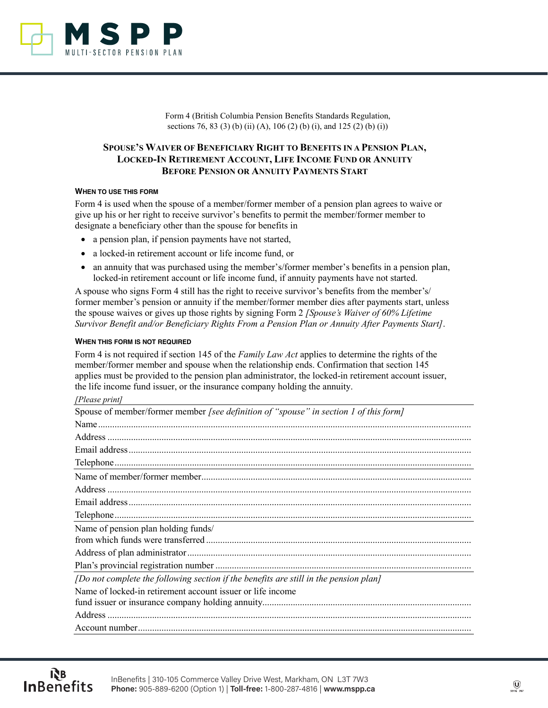

Form 4 (British Columbia Pension Benefits Standards Regulation, sections 76, 83 (3) (b) (ii) (A), 106 (2) (b) (i), and 125 (2) (b) (i))

# **SPOUSE'S WAIVER OF BENEFICIARY RIGHT TO BENEFITS IN A PENSION PLAN, LOCKED-IN RETIREMENT ACCOUNT, LIFE INCOME FUND OR ANNUITY BEFORE PENSION OR ANNUITY PAYMENTS START**

### **WHEN TO USE THIS FORM**

Form 4 is used when the spouse of a member/former member of a pension plan agrees to waive or give up his or her right to receive survivor's benefits to permit the member/former member to designate a beneficiary other than the spouse for benefits in

- a pension plan, if pension payments have not started,
- a locked-in retirement account or life income fund, or
- an annuity that was purchased using the member's/former member's benefits in a pension plan, locked-in retirement account or life income fund, if annuity payments have not started.

A spouse who signs Form 4 still has the right to receive survivor's benefits from the member's/ former member's pension or annuity if the member/former member dies after payments start, unless the spouse waives or gives up those rights by signing Form 2 *[Spouse's Waiver of 60% Lifetime Survivor Benefit and/or Beneficiary Rights From a Pension Plan or Annuity After Payments Start]*.

### **WHEN THIS FORM IS NOT REQUIRED**

Form 4 is not required if section 145 of the *Family Law Act* applies to determine the rights of the member/former member and spouse when the relationship ends. Confirmation that section 145 applies must be provided to the pension plan administrator, the locked-in retirement account issuer, the life income fund issuer, or the insurance company holding the annuity.

## *[Please print]*

| $\mu$ icuse princt                                                                    |
|---------------------------------------------------------------------------------------|
| Spouse of member/former member [see definition of "spouse" in section 1 of this form] |
|                                                                                       |
|                                                                                       |
|                                                                                       |
|                                                                                       |
|                                                                                       |
|                                                                                       |
|                                                                                       |
|                                                                                       |
| Name of pension plan holding funds/                                                   |
|                                                                                       |
|                                                                                       |
|                                                                                       |
| [Do not complete the following section if the benefits are still in the pension plan] |
| Name of locked-in retirement account issuer or life income                            |
|                                                                                       |
|                                                                                       |
|                                                                                       |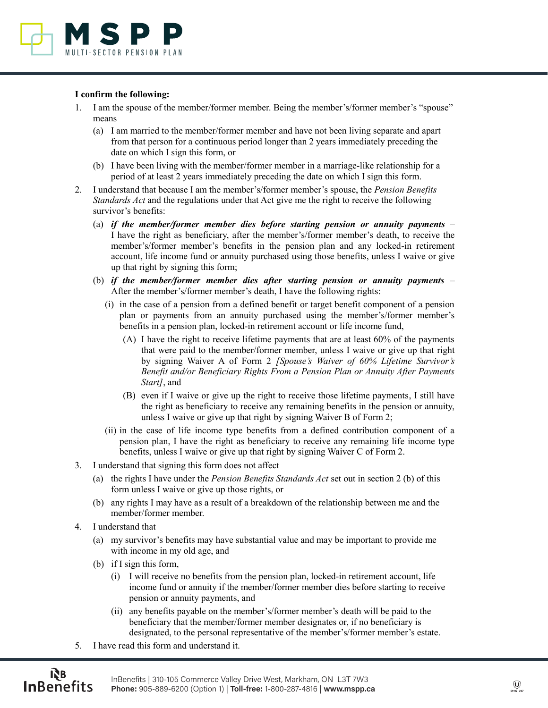

### **I confirm the following:**

- 1. I am the spouse of the member/former member. Being the member's/former member's "spouse" means
	- (a) I am married to the member/former member and have not been living separate and apart from that person for a continuous period longer than 2 years immediately preceding the date on which I sign this form, or
	- (b) I have been living with the member/former member in a marriage-like relationship for a period of at least 2 years immediately preceding the date on which I sign this form.
- 2. I understand that because I am the member's/former member's spouse, the *Pension Benefits Standards Act* and the regulations under that Act give me the right to receive the following survivor's benefits:
	- (a) *if the member/former member dies before starting pension or annuity payments* I have the right as beneficiary, after the member's/former member's death, to receive the member's/former member's benefits in the pension plan and any locked-in retirement account, life income fund or annuity purchased using those benefits, unless I waive or give up that right by signing this form;
	- (b) *if the member/former member dies after starting pension or annuity payments* After the member's/former member's death, I have the following rights:
		- (i) in the case of a pension from a defined benefit or target benefit component of a pension plan or payments from an annuity purchased using the member's/former member's benefits in a pension plan, locked-in retirement account or life income fund,
			- (A) I have the right to receive lifetime payments that are at least 60% of the payments that were paid to the member/former member, unless I waive or give up that right by signing Waiver A of Form 2 *[Spouse's Waiver of 60% Lifetime Survivor's Benefit and/or Beneficiary Rights From a Pension Plan or Annuity After Payments Start]*, and
			- (B) even if I waive or give up the right to receive those lifetime payments, I still have the right as beneficiary to receive any remaining benefits in the pension or annuity, unless I waive or give up that right by signing Waiver B of Form 2;
		- (ii) in the case of life income type benefits from a defined contribution component of a pension plan, I have the right as beneficiary to receive any remaining life income type benefits, unless I waive or give up that right by signing Waiver C of Form 2.
- 3. I understand that signing this form does not affect
	- (a) the rights I have under the *Pension Benefits Standards Act* set out in section 2 (b) of this form unless I waive or give up those rights, or
	- (b) any rights I may have as a result of a breakdown of the relationship between me and the member/former member.
- 4. I understand that
	- (a) my survivor's benefits may have substantial value and may be important to provide me with income in my old age, and
	- (b) if I sign this form,
		- (i) I will receive no benefits from the pension plan, locked-in retirement account, life income fund or annuity if the member/former member dies before starting to receive pension or annuity payments, and
		- (ii) any benefits payable on the member's/former member's death will be paid to the beneficiary that the member/former member designates or, if no beneficiary is designated, to the personal representative of the member's/former member's estate.
- 5. I have read this form and understand it.